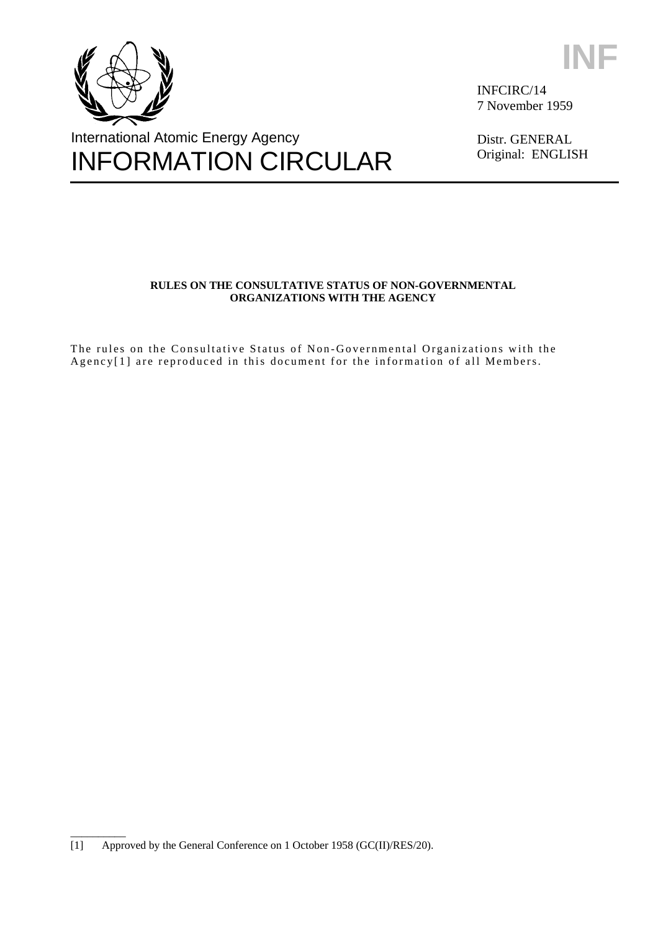



INFCIRC/14 7 November 1959

Distr. GENERAL Original: ENGLISH

# **RULES ON THE CONSULTATIVE STATUS OF NON-GOVERNMENTAL ORGANIZATIONS WITH THE AGENCY**

The rules on the Consultative Status of Non-Governmental Organizations with the Agency<sup>[1]</sup> are reproduced in this document for the information of all Members.

\_\_\_\_\_\_\_\_\_\_

<sup>[1]</sup> Approved by the General Conference on 1 October 1958 (GC(II)/RES/20).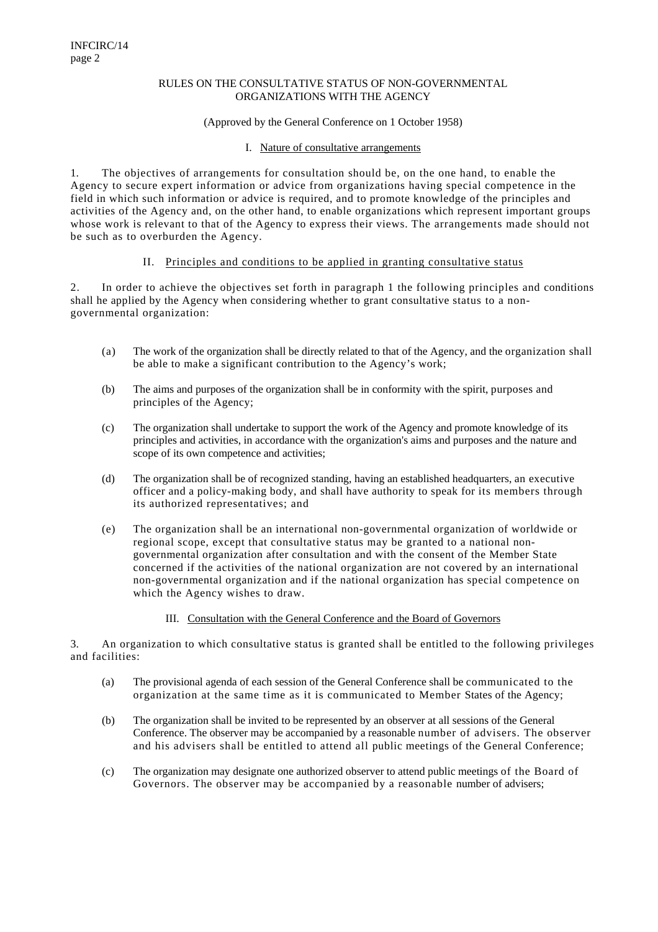#### RULES ON THE CONSULTATIVE STATUS OF NON-GOVERNMENTAL ORGANIZATIONS WITH THE AGENCY

### (Approved by the General Conference on 1 October 1958)

### I. Nature of consultative arrangements

1. The objectives of arrangements for consultation should be, on the one hand, to enable the Agency to secure expert information or advice from organizations having special competence in the field in which such information or advice is required, and to promote knowledge of the principles and activities of the Agency and, on the other hand, to enable organizations which represent important groups whose work is relevant to that of the Agency to express their views. The arrangements made should not be such as to overburden the Agency.

# II. Principles and conditions to be applied in granting consultative status

2. In order to achieve the objectives set forth in paragraph 1 the following principles and conditions shall he applied by the Agency when considering whether to grant consultative status to a nongovernmental organization:

- (a) The work of the organization shall be directly related to that of the Agency, and the organization shall be able to make a significant contribution to the Agency's work;
- (b) The aims and purposes of the organization shall be in conformity with the spirit, purposes and principles of the Agency;
- (c) The organization shall undertake to support the work of the Agency and promote knowledge of its principles and activities, in accordance with the organization's aims and purposes and the nature and scope of its own competence and activities;
- (d) The organization shall be of recognized standing, having an established headquarters, an executive officer and a policy-making body, and shall have authority to speak for its members through its authorized representatives; and
- (e) The organization shall be an international non-governmental organization of worldwide or regional scope, except that consultative status may be granted to a national nongovernmental organization after consultation and with the consent of the Member State concerned if the activities of the national organization are not covered by an international non-governmental organization and if the national organization has special competence on which the Agency wishes to draw.

### III. Consultation with the General Conference and the Board of Governors

3. An organization to which consultative status is granted shall be entitled to the following privileges and facilities:

- (a) The provisional agenda of each session of the General Conference shall be communicated to the organization at the same time as it is communicated to Member States of the Agency;
- (b) The organization shall be invited to be represented by an observer at all sessions of the General Conference. The observer may be accompanied by a reasonable number of advisers. The observer and his advisers shall be entitled to attend all public meetings of the General Conference;
- (c) The organization may designate one authorized observer to attend public meetings of the Board of Governors. The observer may be accompanied by a reasonable number of advisers;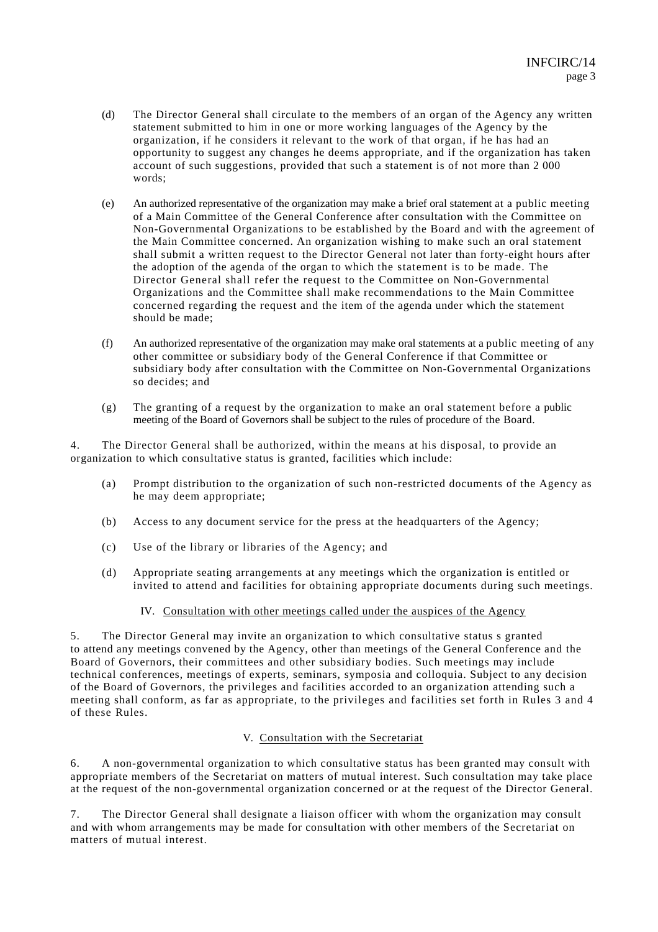- (d) The Director General shall circulate to the members of an organ of the Agency any written statement submitted to him in one or more working languages of the Agency by the organization, if he considers it relevant to the work of that organ, if he has had an opportunity to suggest any changes he deems appropriate, and if the organization has taken account of such suggestions, provided that such a statement is of not more than 2 000 words;
- (e) An authorized representative of the organization may make a brief oral statement at a public meeting of a Main Committee of the General Conference after consultation with the Committee on Non-Governmental Organizations to be established by the Board and with the agreement of the Main Committee concerned. An organization wishing to make such an oral statement shall submit a written request to the Director General not later than forty-eight hours after the adoption of the agenda of the organ to which the statement is to be made. The Director General shall refer the request to the Committee on Non-Governmental Organizations and the Committee shall make recommendations to the Main Committee concerned regarding the request and the item of the agenda under which the statement should be made;
- (f) An authorized representative of the organization may make oral statements at a public meeting of any other committee or subsidiary body of the General Conference if that Committee or subsidiary body after consultation with the Committee on Non-Governmental Organizations so decides; and
- (g) The granting of a request by the organization to make an oral statement before a public meeting of the Board of Governors shall be subject to the rules of procedure of the Board.

4. The Director General shall be authorized, within the means at his disposal, to provide an organization to which consultative status is granted, facilities which include:

- (a) Prompt distribution to the organization of such non-restricted documents of the Agency as he may deem appropriate;
- (b) Access to any document service for the press at the headquarters of the Agency;
- (c) Use of the library or libraries of the Agency; and
- (d) Appropriate seating arrangements at any meetings which the organization is entitled or invited to attend and facilities for obtaining appropriate documents during such meetings.

### IV. Consultation with other meetings called under the auspices of the Agency

5. The Director General may invite an organization to which consultative status s granted to attend any meetings convened by the Agency, other than meetings of the General Conference and the Board of Governors, their committees and other subsidiary bodies. Such meetings may include technical conferences, meetings of experts, seminars, symposia and colloquia. Subject to any decision of the Board of Governors, the privileges and facilities accorded to an organization attending such a meeting shall conform, as far as appropriate, to the privileges and facilities set forth in Rules 3 and 4 of these Rules.

### V. Consultation with the Secretariat

6. A non-governmental organization to which consultative status has been granted may consult with appropriate members of the Secretariat on matters of mutual interest. Such consultation may take place at the request of the non-governmental organization concerned or at the request of the Director General.

7. The Director General shall designate a liaison officer with whom the organization may consult and with whom arrangements may be made for consultation with other members of the Secretariat on matters of mutual interest.